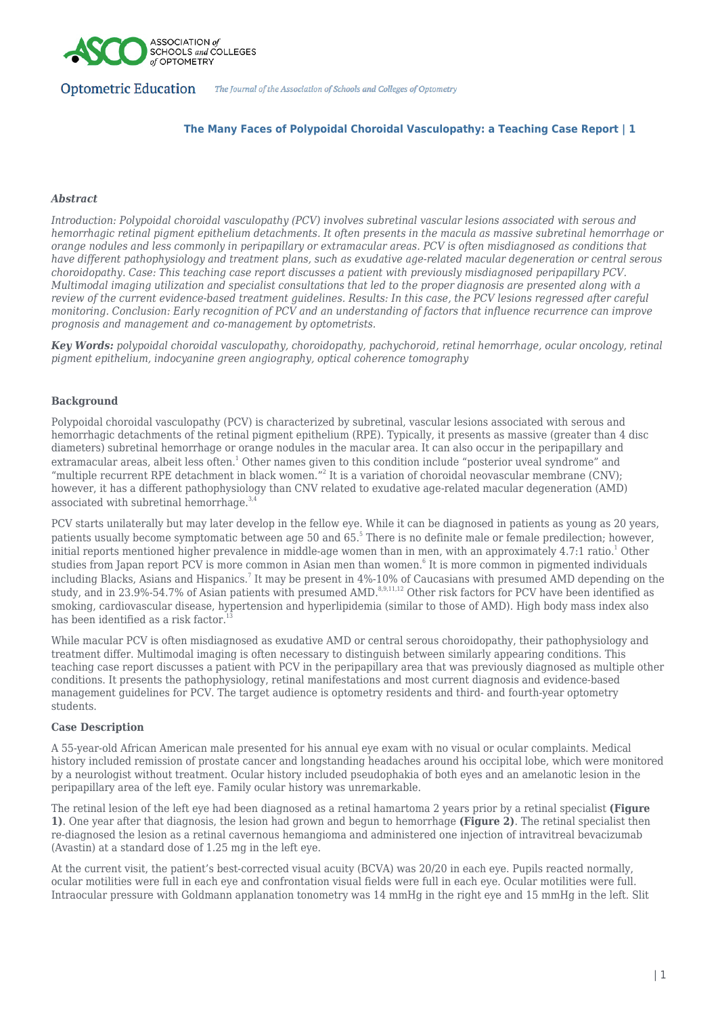

# **The Many Faces of Polypoidal Choroidal Vasculopathy: a Teaching Case Report | 1**

## *Abstract*

*Introduction: Polypoidal choroidal vasculopathy (PCV) involves subretinal vascular lesions associated with serous and hemorrhagic retinal pigment epithelium detachments. It often presents in the macula as massive subretinal hemorrhage or orange nodules and less commonly in peripapillary or extramacular areas. PCV is often misdiagnosed as conditions that have different pathophysiology and treatment plans, such as exudative age-related macular degeneration or central serous choroidopathy. Case: This teaching case report discusses a patient with previously misdiagnosed peripapillary PCV. Multimodal imaging utilization and specialist consultations that led to the proper diagnosis are presented along with a review of the current evidence-based treatment guidelines. Results: In this case, the PCV lesions regressed after careful monitoring. Conclusion: Early recognition of PCV and an understanding of factors that influence recurrence can improve prognosis and management and co-management by optometrists.*

*Key Words: polypoidal choroidal vasculopathy, choroidopathy, pachychoroid, retinal hemorrhage, ocular oncology, retinal pigment epithelium, indocyanine green angiography, optical coherence tomography*

# **Background**

Polypoidal choroidal vasculopathy (PCV) is characterized by subretinal, vascular lesions associated with serous and hemorrhagic detachments of the retinal pigment epithelium (RPE). Typically, it presents as massive (greater than 4 disc diameters) subretinal hemorrhage or orange nodules in the macular area. It can also occur in the peripapillary and extramacular areas, albeit less often.<sup>1</sup> Other names given to this condition include "posterior uveal syndrome" and "multiple recurrent RPE detachment in black women."<sup>2</sup> It is a variation of choroidal neovascular membrane (CNV); however, it has a different pathophysiology than CNV related to exudative age-related macular degeneration (AMD) associated with subretinal hemorrhage. $3$ 

PCV starts unilaterally but may later develop in the fellow eye. While it can be diagnosed in patients as young as 20 years, patients usually become symptomatic between age 50 and 65.<sup>5</sup> There is no definite male or female predilection; however, initial reports mentioned higher prevalence in middle-age women than in men, with an approximately  $4.7:1$  ratio.<sup>1</sup> Other studies from Japan report PCV is more common in Asian men than women.<sup>6</sup> It is more common in pigmented individuals including Blacks, Asians and Hispanics.<sup>7</sup> It may be present in 4%-10% of Caucasians with presumed AMD depending on the study, and in 23.9%-54.7% of Asian patients with presumed AMD.<sup>8,9,11,12</sup> Other risk factors for PCV have been identified as smoking, cardiovascular disease, hypertension and hyperlipidemia (similar to those of AMD). High body mass index also has been identified as a risk factor.<sup>1</sup>

While macular PCV is often misdiagnosed as exudative AMD or central serous choroidopathy, their pathophysiology and treatment differ. Multimodal imaging is often necessary to distinguish between similarly appearing conditions. This teaching case report discusses a patient with PCV in the peripapillary area that was previously diagnosed as multiple other conditions. It presents the pathophysiology, retinal manifestations and most current diagnosis and evidence-based management guidelines for PCV. The target audience is optometry residents and third- and fourth-year optometry students.

## **Case Description**

A 55-year-old African American male presented for his annual eye exam with no visual or ocular complaints. Medical history included remission of prostate cancer and longstanding headaches around his occipital lobe, which were monitored by a neurologist without treatment. Ocular history included pseudophakia of both eyes and an amelanotic lesion in the peripapillary area of the left eye. Family ocular history was unremarkable.

The retinal lesion of the left eye had been diagnosed as a retinal hamartoma 2 years prior by a retinal specialist **(Figure 1)**. One year after that diagnosis, the lesion had grown and begun to hemorrhage **(Figure 2)**. The retinal specialist then re-diagnosed the lesion as a retinal cavernous hemangioma and administered one injection of intravitreal bevacizumab (Avastin) at a standard dose of 1.25 mg in the left eye.

At the current visit, the patient's best-corrected visual acuity (BCVA) was 20/20 in each eye. Pupils reacted normally, ocular motilities were full in each eye and confrontation visual fields were full in each eye. Ocular motilities were full. Intraocular pressure with Goldmann applanation tonometry was 14 mmHg in the right eye and 15 mmHg in the left. Slit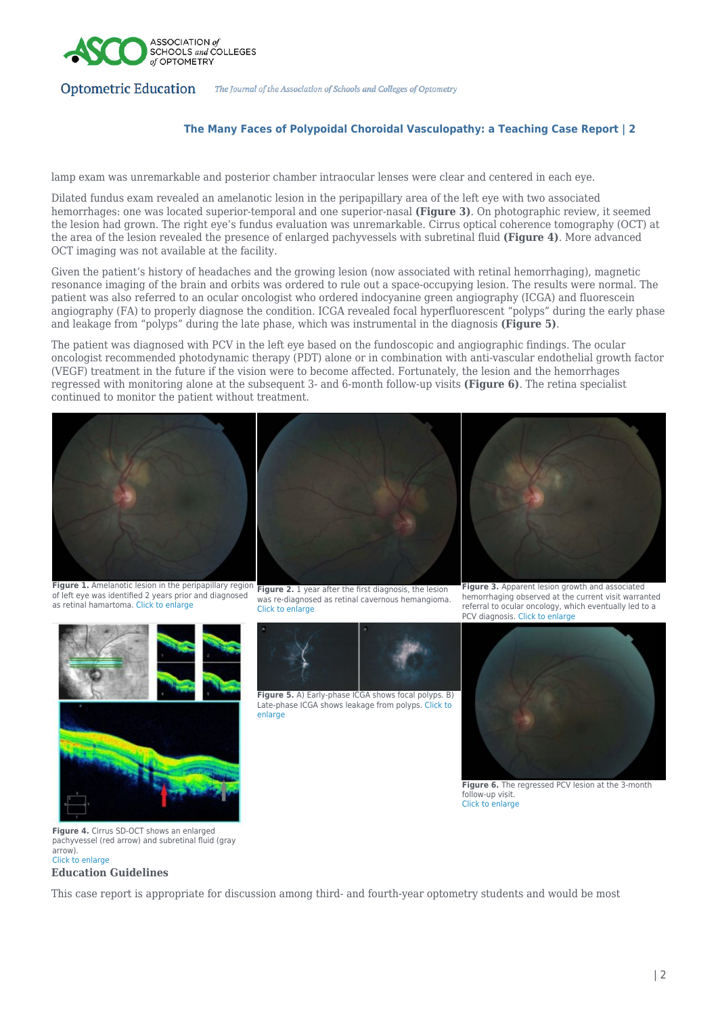

#### **The Many Faces of Polypoidal Choroidal Vasculopathy: a Teaching Case Report | 2**

lamp exam was unremarkable and posterior chamber intraocular lenses were clear and centered in each eye.

Dilated fundus exam revealed an amelanotic lesion in the peripapillary area of the left eye with two associated hemorrhages: one was located superior-temporal and one superior-nasal **(Figure 3)**. On photographic review, it seemed the lesion had grown. The right eye's fundus evaluation was unremarkable. Cirrus optical coherence tomography (OCT) at the area of the lesion revealed the presence of enlarged pachyvessels with subretinal fluid **(Figure 4)**. More advanced OCT imaging was not available at the facility.

Given the patient's history of headaches and the growing lesion (now associated with retinal hemorrhaging), magnetic resonance imaging of the brain and orbits was ordered to rule out a space-occupying lesion. The results were normal. The patient was also referred to an ocular oncologist who ordered indocyanine green angiography (ICGA) and fluorescein angiography (FA) to properly diagnose the condition. ICGA revealed focal hyperfluorescent "polyps" during the early phase and leakage from "polyps" during the late phase, which was instrumental in the diagnosis **(Figure 5)**.

The patient was diagnosed with PCV in the left eye based on the fundoscopic and angiographic findings. The ocular oncologist recommended photodynamic therapy (PDT) alone or in combination with anti-vascular endothelial growth factor (VEGF) treatment in the future if the vision were to become affected. Fortunately, the lesion and the hemorrhages regressed with monitoring alone at the subsequent 3- and 6-month follow-up visits **(Figure 6)**. The retina specialist continued to monitor the patient without treatment.



of left eye was identified 2 years prior and diagnosed as retinal hamartoma. [Click to enlarge](https://journal.opted.org/wp-content/uploads/2022/03/WS22.P6.Fig1_.jpg)

was re-diagnosed as retinal cavernous hemangioma. [Click to enlarge](https://journal.opted.org/wp-content/uploads/2022/03/WS22.P6.Fig2_.jpg)



**Figure 5.** A) Early-phase ICGA shows focal polyps. B) Late-phase ICGA shows leakage from polyps. [Click to](https://journal.opted.org/wp-content/uploads/2022/03/WS22.P6.Fig5_.png) [enlarge](https://journal.opted.org/wp-content/uploads/2022/03/WS22.P6.Fig5_.png)





**Figure 6.** The regressed PCV lesion at the 3-month follow-up visit. [Click to enlarge](https://journal.opted.org/wp-content/uploads/2022/03/WS22.P6.Fig6_.jpg)

**Figure 4.** Cirrus SD-OCT shows an enlarged pachyvessel (red arrow) and subretinal fluid (gray arrow). [Click to enlarge](https://journal.opted.org/wp-content/uploads/2022/03/WS22.P6.Fig4_.jpg)

#### **Education Guidelines**

This case report is appropriate for discussion among third- and fourth-year optometry students and would be most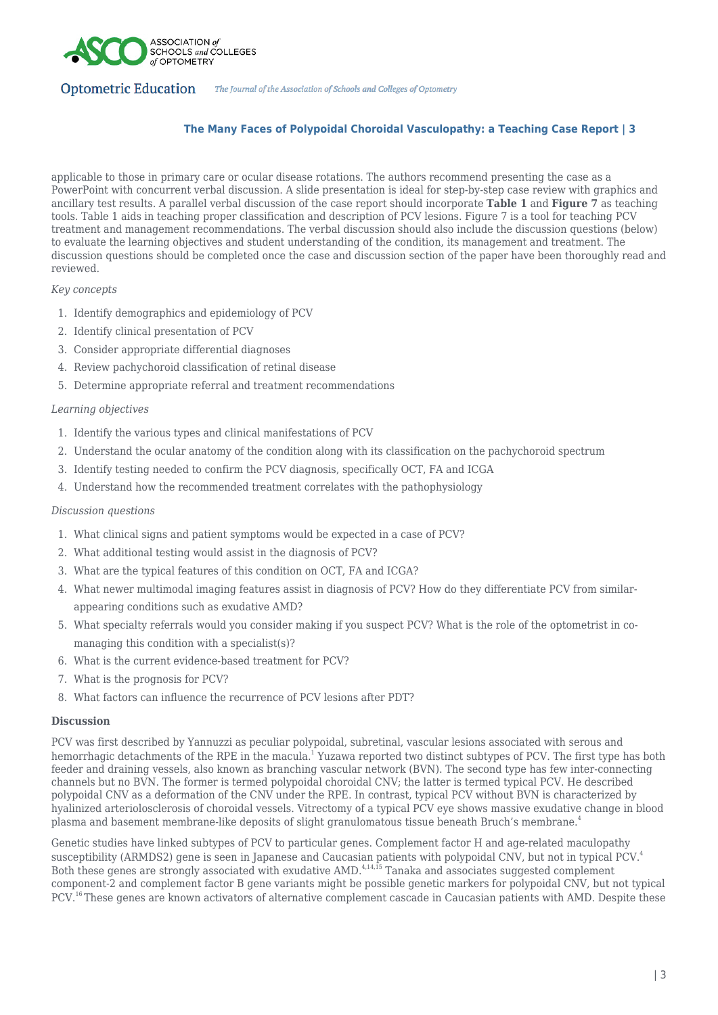

# **The Many Faces of Polypoidal Choroidal Vasculopathy: a Teaching Case Report | 3**

applicable to those in primary care or ocular disease rotations. The authors recommend presenting the case as a PowerPoint with concurrent verbal discussion. A slide presentation is ideal for step-by-step case review with graphics and ancillary test results. A parallel verbal discussion of the case report should incorporate **Table 1** and **Figure 7** as teaching tools. Table 1 aids in teaching proper classification and description of PCV lesions. Figure 7 is a tool for teaching PCV treatment and management recommendations. The verbal discussion should also include the discussion questions (below) to evaluate the learning objectives and student understanding of the condition, its management and treatment. The discussion questions should be completed once the case and discussion section of the paper have been thoroughly read and reviewed.

#### *Key concepts*

- 1. Identify demographics and epidemiology of PCV
- 2. Identify clinical presentation of PCV
- 3. Consider appropriate differential diagnoses
- 4. Review pachychoroid classification of retinal disease
- 5. Determine appropriate referral and treatment recommendations

## *Learning objectives*

- 1. Identify the various types and clinical manifestations of PCV
- 2. Understand the ocular anatomy of the condition along with its classification on the pachychoroid spectrum
- 3. Identify testing needed to confirm the PCV diagnosis, specifically OCT, FA and ICGA
- 4. Understand how the recommended treatment correlates with the pathophysiology

## *Discussion questions*

- 1. What clinical signs and patient symptoms would be expected in a case of PCV?
- 2. What additional testing would assist in the diagnosis of PCV?
- 3. What are the typical features of this condition on OCT, FA and ICGA?
- 4. What newer multimodal imaging features assist in diagnosis of PCV? How do they differentiate PCV from similarappearing conditions such as exudative AMD?
- 5. What specialty referrals would you consider making if you suspect PCV? What is the role of the optometrist in comanaging this condition with a specialist(s)?
- 6. What is the current evidence-based treatment for PCV?
- 7. What is the prognosis for PCV?
- 8. What factors can influence the recurrence of PCV lesions after PDT?

## **Discussion**

PCV was first described by Yannuzzi as peculiar polypoidal, subretinal, vascular lesions associated with serous and hemorrhagic detachments of the RPE in the macula.<sup>1</sup> Yuzawa reported two distinct subtypes of PCV. The first type has both feeder and draining vessels, also known as branching vascular network (BVN). The second type has few inter-connecting channels but no BVN. The former is termed polypoidal choroidal CNV; the latter is termed typical PCV. He described polypoidal CNV as a deformation of the CNV under the RPE. In contrast, typical PCV without BVN is characterized by hyalinized arteriolosclerosis of choroidal vessels. Vitrectomy of a typical PCV eye shows massive exudative change in blood plasma and basement membrane-like deposits of slight granulomatous tissue beneath Bruch's membrane.<sup>4</sup>

Genetic studies have linked subtypes of PCV to particular genes. Complement factor H and age-related maculopathy susceptibility (ARMDS2) gene is seen in Japanese and Caucasian patients with polypoidal CNV, but not in typical PCV.<sup>4</sup> Both these genes are strongly associated with exudative AMD.<sup>4,14,15</sup> Tanaka and associates suggested complement component-2 and complement factor B gene variants might be possible genetic markers for polypoidal CNV, but not typical PCV.<sup>16</sup>These genes are known activators of alternative complement cascade in Caucasian patients with AMD. Despite these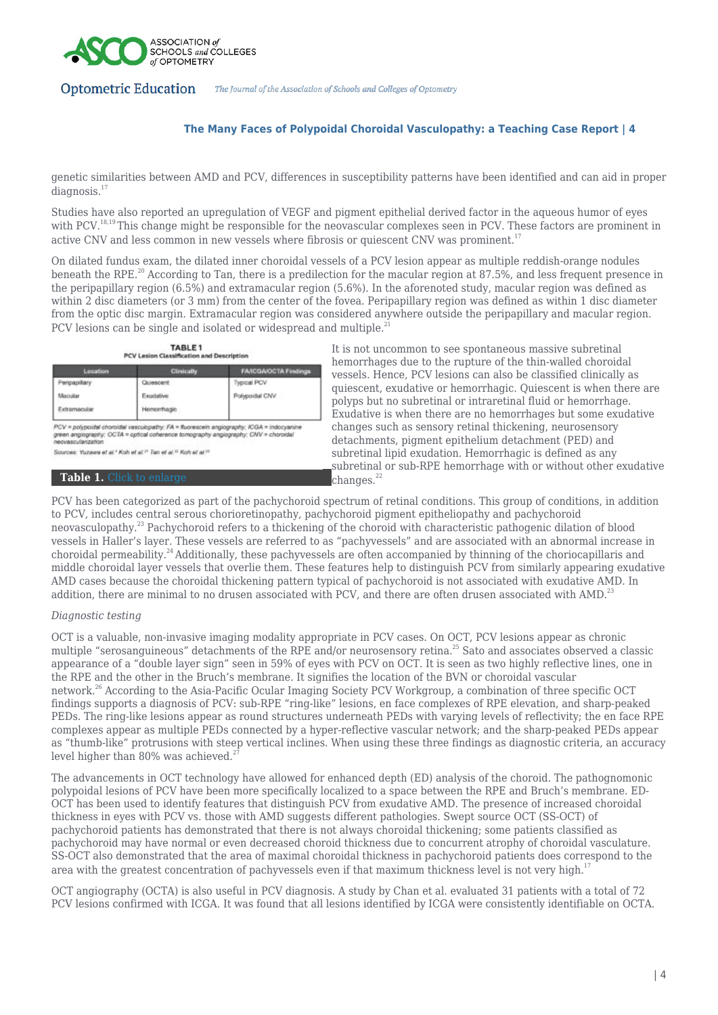

# **The Many Faces of Polypoidal Choroidal Vasculopathy: a Teaching Case Report | 4**

genetic similarities between AMD and PCV, differences in susceptibility patterns have been identified and can aid in proper diagnosis.<sup>17</sup>

Studies have also reported an upregulation of VEGF and pigment epithelial derived factor in the aqueous humor of eyes with PCV.<sup>18,19</sup> This change might be responsible for the neovascular complexes seen in PCV. These factors are prominent in active CNV and less common in new vessels where fibrosis or quiescent CNV was prominent.<sup>17</sup>

On dilated fundus exam, the dilated inner choroidal vessels of a PCV lesion appear as multiple reddish-orange nodules beneath the RPE.<sup>20</sup> According to Tan, there is a predilection for the macular region at 87.5%, and less frequent presence in the peripapillary region (6.5%) and extramacular region (5.6%). In the aforenoted study, macular region was defined as within 2 disc diameters (or 3 mm) from the center of the fovea. Peripapillary region was defined as within 1 disc diameter from the optic disc margin. Extramacular region was considered anywhere outside the peripapillary and macular region. PCV lesions can be single and isolated or widespread and multiple.<sup>21</sup>

| TABLE <sub>1</sub>                           |  |
|----------------------------------------------|--|
| Biffit Losing Classification and Passednator |  |

| Location      | <b>Clinically</b> | <b>FAICGA/OCTA Findings</b> |
|---------------|-------------------|-----------------------------|
| Peripapillary | Quiescent         | <b>Typical PCV</b>          |
| Macular       | Exudative         | Polypoidal CNV              |
| Extramacular  | Hemorrhagic.      |                             |

PCV = polypoids/choroids/vasculopathy: FA = fluorescein angiography: ICGA = indocyan<br>green angiography: OCTA = optical coherence tomography angiography: CNV = choroidal<br>neovascularization

Sources: Yuzawa et al.<sup>4</sup> Koh et al.<sup>21</sup> Tan et al.<sup>22</sup> Koh et al.<sup>22</sup>

#### **Table 1.** [Click to enlarge](https://journal.opted.org/wp-content/uploads/2022/03/WS22.P6.Table1r.jpg)

It is not uncommon to see spontaneous massive subretinal hemorrhages due to the rupture of the thin-walled choroidal vessels. Hence, PCV lesions can also be classified clinically as quiescent, exudative or hemorrhagic. Quiescent is when there are polyps but no subretinal or intraretinal fluid or hemorrhage. Exudative is when there are no hemorrhages but some exudative changes such as sensory retinal thickening, neurosensory detachments, pigment epithelium detachment (PED) and subretinal lipid exudation. Hemorrhagic is defined as any subretinal or sub-RPE hemorrhage with or without other exudative  $<sup>22</sup>$ 

PCV has been categorized as part of the pachychoroid spectrum of retinal conditions. This group of conditions, in addition to PCV, includes central serous chorioretinopathy, pachychoroid pigment epitheliopathy and pachychoroid neovasculopathy.<sup>23</sup> Pachychoroid refers to a thickening of the choroid with characteristic pathogenic dilation of blood vessels in Haller's layer. These vessels are referred to as "pachyvessels" and are associated with an abnormal increase in choroidal permeability.<sup>24</sup>Additionally, these pachyvessels are often accompanied by thinning of the choriocapillaris and middle choroidal layer vessels that overlie them. These features help to distinguish PCV from similarly appearing exudative AMD cases because the choroidal thickening pattern typical of pachychoroid is not associated with exudative AMD. In addition, there are minimal to no drusen associated with PCV, and there are often drusen associated with AMD.<sup>23</sup>

## *Diagnostic testing*

OCT is a valuable, non-invasive imaging modality appropriate in PCV cases. On OCT, PCV lesions appear as chronic multiple "serosanguineous" detachments of the RPE and/or neurosensory retina.<sup>25</sup> Sato and associates observed a classic appearance of a "double layer sign" seen in 59% of eyes with PCV on OCT. It is seen as two highly reflective lines, one in the RPE and the other in the Bruch's membrane. It signifies the location of the BVN or choroidal vascular network.<sup>26</sup> According to the Asia-Pacific Ocular Imaging Society PCV Workgroup, a combination of three specific OCT findings supports a diagnosis of PCV: sub-RPE "ring-like" lesions, en face complexes of RPE elevation, and sharp-peaked PEDs. The ring-like lesions appear as round structures underneath PEDs with varying levels of reflectivity; the en face RPE complexes appear as multiple PEDs connected by a hyper-reflective vascular network; and the sharp-peaked PEDs appear as "thumb-like" protrusions with steep vertical inclines. When using these three findings as diagnostic criteria, an accuracy level higher than 80% was achieved.<sup>2</sup>

The advancements in OCT technology have allowed for enhanced depth (ED) analysis of the choroid. The pathognomonic polypoidal lesions of PCV have been more specifically localized to a space between the RPE and Bruch's membrane. ED-OCT has been used to identify features that distinguish PCV from exudative AMD. The presence of increased choroidal thickness in eyes with PCV vs. those with AMD suggests different pathologies. Swept source OCT (SS-OCT) of pachychoroid patients has demonstrated that there is not always choroidal thickening; some patients classified as pachychoroid may have normal or even decreased choroid thickness due to concurrent atrophy of choroidal vasculature. SS-OCT also demonstrated that the area of maximal choroidal thickness in pachychoroid patients does correspond to the area with the greatest concentration of pachyvessels even if that maximum thickness level is not very high.<sup>17</sup>

OCT angiography (OCTA) is also useful in PCV diagnosis. A study by Chan et al. evaluated 31 patients with a total of 72 PCV lesions confirmed with ICGA. It was found that all lesions identified by ICGA were consistently identifiable on OCTA.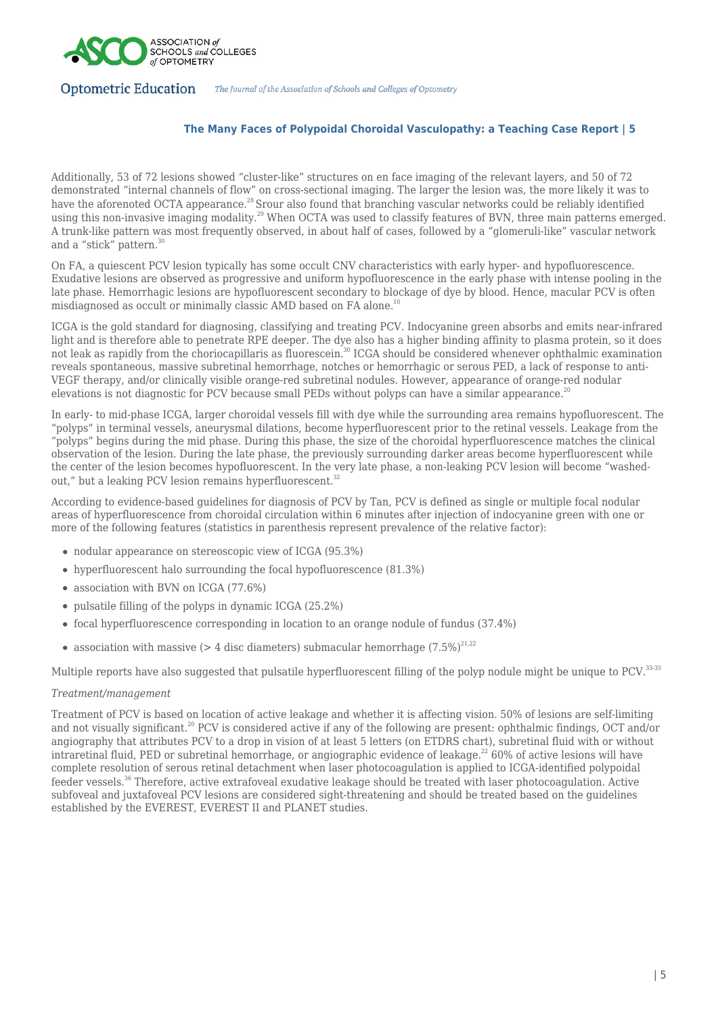

## **The Many Faces of Polypoidal Choroidal Vasculopathy: a Teaching Case Report | 5**

Additionally, 53 of 72 lesions showed "cluster-like" structures on en face imaging of the relevant layers, and 50 of 72 demonstrated "internal channels of flow" on cross-sectional imaging. The larger the lesion was, the more likely it was to have the aforenoted OCTA appearance.<sup>28</sup> Srour also found that branching vascular networks could be reliably identified using this non-invasive imaging modality.<sup>29</sup> When OCTA was used to classify features of BVN, three main patterns emerged. A trunk-like pattern was most frequently observed, in about half of cases, followed by a "glomeruli-like" vascular network and a "stick" pattern.<sup>30</sup>

On FA, a quiescent PCV lesion typically has some occult CNV characteristics with early hyper- and hypofluorescence. Exudative lesions are observed as progressive and uniform hypofluorescence in the early phase with intense pooling in the late phase. Hemorrhagic lesions are hypofluorescent secondary to blockage of dye by blood. Hence, macular PCV is often misdiagnosed as occult or minimally classic AMD based on FA alone.<sup>10</sup>

ICGA is the gold standard for diagnosing, classifying and treating PCV. Indocyanine green absorbs and emits near-infrared light and is therefore able to penetrate RPE deeper. The dye also has a higher binding affinity to plasma protein, so it does not leak as rapidly from the choriocapillaris as fluorescein.<sup>30</sup> ICGA should be considered whenever ophthalmic examination reveals spontaneous, massive subretinal hemorrhage, notches or hemorrhagic or serous PED, a lack of response to anti-VEGF therapy, and/or clinically visible orange-red subretinal nodules. However, appearance of orange-red nodular elevations is not diagnostic for PCV because small PEDs without polyps can have a similar appearance.<sup>2</sup>

In early- to mid-phase ICGA, larger choroidal vessels fill with dye while the surrounding area remains hypofluorescent. The "polyps" in terminal vessels, aneurysmal dilations, become hyperfluorescent prior to the retinal vessels. Leakage from the "polyps" begins during the mid phase. During this phase, the size of the choroidal hyperfluorescence matches the clinical observation of the lesion. During the late phase, the previously surrounding darker areas become hyperfluorescent while the center of the lesion becomes hypofluorescent. In the very late phase, a non-leaking PCV lesion will become "washedout," but a leaking PCV lesion remains hyperfluorescent.<sup>32</sup>

According to evidence-based guidelines for diagnosis of PCV by Tan, PCV is defined as single or multiple focal nodular areas of hyperfluorescence from choroidal circulation within 6 minutes after injection of indocyanine green with one or more of the following features (statistics in parenthesis represent prevalence of the relative factor):

- nodular appearance on stereoscopic view of ICGA (95.3%)
- hyperfluorescent halo surrounding the focal hypofluorescence (81.3%)
- association with BVN on ICGA (77.6%)
- pulsatile filling of the polyps in dynamic ICGA (25.2%)
- focal hyperfluorescence corresponding in location to an orange nodule of fundus (37.4%)
- association with massive (> 4 disc diameters) submacular hemorrhage  $(7.5\%)^{21,22}$

Multiple reports have also suggested that pulsatile hyperfluorescent filling of the polyp nodule might be unique to PCV.<sup>33-35</sup>

## *Treatment/management*

Treatment of PCV is based on location of active leakage and whether it is affecting vision. 50% of lesions are self-limiting and not visually significant.<sup>20</sup> PCV is considered active if any of the following are present: ophthalmic findings, OCT and/or angiography that attributes PCV to a drop in vision of at least 5 letters (on ETDRS chart), subretinal fluid with or without intraretinal fluid, PED or subretinal hemorrhage, or angiographic evidence of leakage.<sup>22</sup> 60% of active lesions will have complete resolution of serous retinal detachment when laser photocoagulation is applied to ICGA-identified polypoidal feeder vessels.<sup>36</sup> Therefore, active extrafoveal exudative leakage should be treated with laser photocoagulation. Active subfoveal and juxtafoveal PCV lesions are considered sight-threatening and should be treated based on the guidelines established by the EVEREST, EVEREST II and PLANET studies.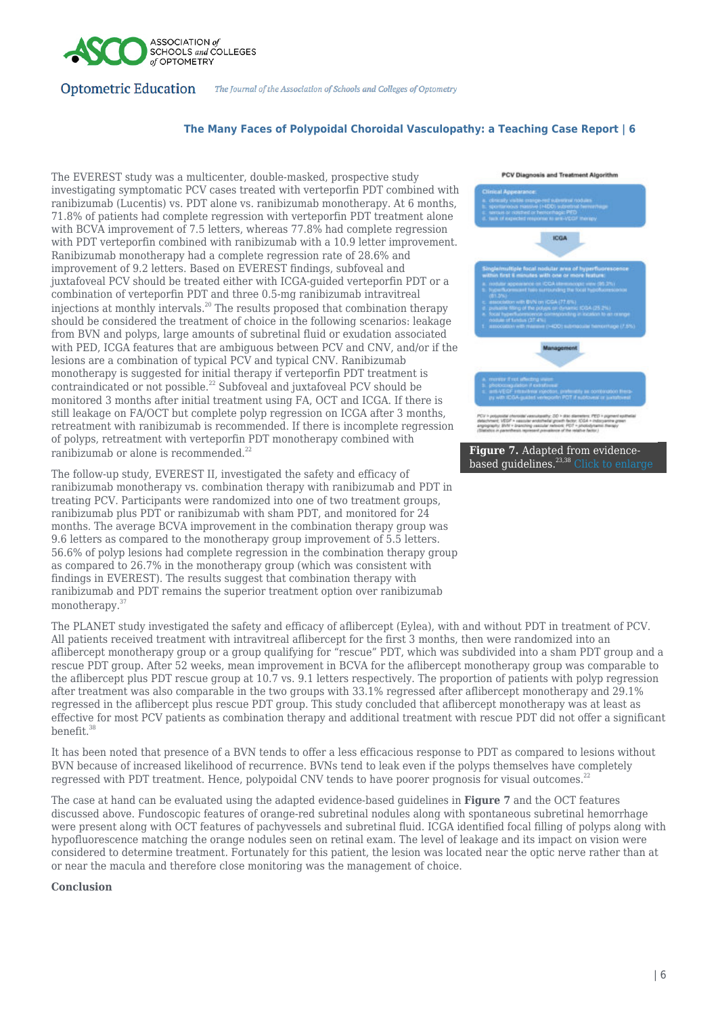

#### **The Many Faces of Polypoidal Choroidal Vasculopathy: a Teaching Case Report | 6**

The EVEREST study was a multicenter, double-masked, prospective study investigating symptomatic PCV cases treated with verteporfin PDT combined with ranibizumab (Lucentis) vs. PDT alone vs. ranibizumab monotherapy. At 6 months, 71.8% of patients had complete regression with verteporfin PDT treatment alone with BCVA improvement of 7.5 letters, whereas 77.8% had complete regression with PDT verteporfin combined with ranibizumab with a 10.9 letter improvement. Ranibizumab monotherapy had a complete regression rate of 28.6% and improvement of 9.2 letters. Based on EVEREST findings, subfoveal and juxtafoveal PCV should be treated either with ICGA-guided verteporfin PDT or a combination of verteporfin PDT and three 0.5-mg ranibizumab intravitreal injections at monthly intervals.<sup>20</sup> The results proposed that combination therapy should be considered the treatment of choice in the following scenarios: leakage from BVN and polyps, large amounts of subretinal fluid or exudation associated with PED, ICGA features that are ambiguous between PCV and CNV, and/or if the lesions are a combination of typical PCV and typical CNV. Ranibizumab monotherapy is suggested for initial therapy if verteporfin PDT treatment is contraindicated or not possible.<sup>22</sup> Subfoveal and juxtafoveal PCV should be monitored 3 months after initial treatment using FA, OCT and ICGA. If there is still leakage on FA/OCT but complete polyp regression on ICGA after 3 months, retreatment with ranibizumab is recommended. If there is incomplete regression of polyps, retreatment with verteporfin PDT monotherapy combined with ranibizumab or alone is recommended.<sup>22</sup>

The follow-up study, EVEREST II, investigated the safety and efficacy of ranibizumab monotherapy vs. combination therapy with ranibizumab and PDT in treating PCV. Participants were randomized into one of two treatment groups, ranibizumab plus PDT or ranibizumab with sham PDT, and monitored for 24 months. The average BCVA improvement in the combination therapy group was 9.6 letters as compared to the monotherapy group improvement of 5.5 letters. 56.6% of polyp lesions had complete regression in the combination therapy group as compared to 26.7% in the monotherapy group (which was consistent with findings in EVEREST). The results suggest that combination therapy with ranibizumab and PDT remains the superior treatment option over ranibizumab monotherapy.<sup>37</sup>



The PLANET study investigated the safety and efficacy of aflibercept (Eylea), with and without PDT in treatment of PCV. All patients received treatment with intravitreal aflibercept for the first 3 months, then were randomized into an aflibercept monotherapy group or a group qualifying for  $\pi$ rescue" PDT, which was subdivided into a sham PDT group and a rescue PDT group. After 52 weeks, mean improvement in BCVA for the aflibercept monotherapy group was comparable to the aflibercept plus PDT rescue group at 10.7 vs. 9.1 letters respectively. The proportion of patients with polyp regression after treatment was also comparable in the two groups with 33.1% regressed after aflibercept monotherapy and 29.1% regressed in the aflibercept plus rescue PDT group. This study concluded that aflibercept monotherapy was at least as effective for most PCV patients as combination therapy and additional treatment with rescue PDT did not offer a significant benefit.<sup>38</sup>

It has been noted that presence of a BVN tends to offer a less efficacious response to PDT as compared to lesions without BVN because of increased likelihood of recurrence. BVNs tend to leak even if the polyps themselves have completely regressed with PDT treatment. Hence, polypoidal CNV tends to have poorer prognosis for visual outcomes.<sup>22</sup>

The case at hand can be evaluated using the adapted evidence-based guidelines in **Figure 7** and the OCT features discussed above. Fundoscopic features of orange-red subretinal nodules along with spontaneous subretinal hemorrhage were present along with OCT features of pachyvessels and subretinal fluid. ICGA identified focal filling of polyps along with hypofluorescence matching the orange nodules seen on retinal exam. The level of leakage and its impact on vision were considered to determine treatment. Fortunately for this patient, the lesion was located near the optic nerve rather than at or near the macula and therefore close monitoring was the management of choice.

#### **Conclusion**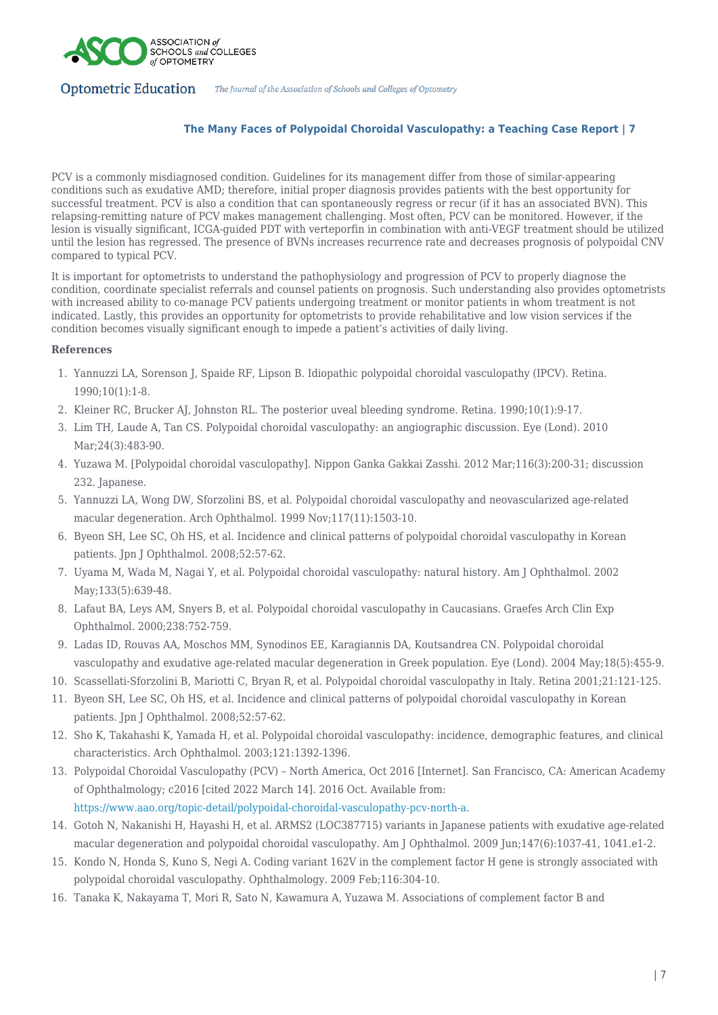

# **The Many Faces of Polypoidal Choroidal Vasculopathy: a Teaching Case Report | 7**

PCV is a commonly misdiagnosed condition. Guidelines for its management differ from those of similar-appearing conditions such as exudative AMD; therefore, initial proper diagnosis provides patients with the best opportunity for successful treatment. PCV is also a condition that can spontaneously regress or recur (if it has an associated BVN). This relapsing-remitting nature of PCV makes management challenging. Most often, PCV can be monitored. However, if the lesion is visually significant, ICGA-guided PDT with verteporfin in combination with anti-VEGF treatment should be utilized until the lesion has regressed. The presence of BVNs increases recurrence rate and decreases prognosis of polypoidal CNV compared to typical PCV.

It is important for optometrists to understand the pathophysiology and progression of PCV to properly diagnose the condition, coordinate specialist referrals and counsel patients on prognosis. Such understanding also provides optometrists with increased ability to co-manage PCV patients undergoing treatment or monitor patients in whom treatment is not indicated. Lastly, this provides an opportunity for optometrists to provide rehabilitative and low vision services if the condition becomes visually significant enough to impede a patient's activities of daily living.

## **References**

- 1. Yannuzzi LA, Sorenson J, Spaide RF, Lipson B. Idiopathic polypoidal choroidal vasculopathy (IPCV). Retina. 1990;10(1):1-8.
- 2. Kleiner RC, Brucker AJ, Johnston RL. The posterior uveal bleeding syndrome. Retina. 1990;10(1):9-17.
- 3. Lim TH, Laude A, Tan CS. Polypoidal choroidal vasculopathy: an angiographic discussion. Eye (Lond). 2010 Mar;24(3):483-90.
- 4. Yuzawa M. [Polypoidal choroidal vasculopathy]. Nippon Ganka Gakkai Zasshi. 2012 Mar;116(3):200-31; discussion 232. Japanese.
- 5. Yannuzzi LA, Wong DW, Sforzolini BS, et al. Polypoidal choroidal vasculopathy and neovascularized age-related macular degeneration. Arch Ophthalmol. 1999 Nov;117(11):1503-10.
- 6. Byeon SH, Lee SC, Oh HS, et al. Incidence and clinical patterns of polypoidal choroidal vasculopathy in Korean patients. Jpn J Ophthalmol. 2008;52:57-62.
- 7. Uyama M, Wada M, Nagai Y, et al. Polypoidal choroidal vasculopathy: natural history. Am J Ophthalmol. 2002 May;133(5):639-48.
- 8. Lafaut BA, Leys AM, Snyers B, et al. Polypoidal choroidal vasculopathy in Caucasians. Graefes Arch Clin Exp Ophthalmol. 2000;238:752-759.
- 9. Ladas ID, Rouvas AA, Moschos MM, Synodinos EE, Karagiannis DA, Koutsandrea CN. Polypoidal choroidal vasculopathy and exudative age-related macular degeneration in Greek population. Eye (Lond). 2004 May;18(5):455-9.
- 10. Scassellati-Sforzolini B, Mariotti C, Bryan R, et al. Polypoidal choroidal vasculopathy in Italy. Retina 2001;21:121-125.
- 11. Byeon SH, Lee SC, Oh HS, et al. Incidence and clinical patterns of polypoidal choroidal vasculopathy in Korean patients. Jpn J Ophthalmol. 2008;52:57-62.
- 12. Sho K, Takahashi K, Yamada H, et al. Polypoidal choroidal vasculopathy: incidence, demographic features, and clinical characteristics. Arch Ophthalmol. 2003;121:1392-1396.
- 13. Polypoidal Choroidal Vasculopathy (PCV) North America, Oct 2016 [Internet]. San Francisco, CA: American Academy of Ophthalmology; c2016 [cited 2022 March 14]. 2016 Oct. Available from: [https://www.aao.org/topic-detail/polypoidal-choroidal-vasculopathy-pcv-north-a.](https://www.aao.org/topic-detail/polypoidal-choroidal-vasculopathy-pcv-north-a)
- 14. Gotoh N, Nakanishi H, Hayashi H, et al. ARMS2 (LOC387715) variants in Japanese patients with exudative age-related macular degeneration and polypoidal choroidal vasculopathy. Am J Ophthalmol. 2009 Jun;147(6):1037-41, 1041.e1-2.
- 15. Kondo N, Honda S, Kuno S, Negi A. Coding variant 162V in the complement factor H gene is strongly associated with polypoidal choroidal vasculopathy. Ophthalmology. 2009 Feb;116:304-10.
- 16. Tanaka K, Nakayama T, Mori R, Sato N, Kawamura A, Yuzawa M. Associations of complement factor B and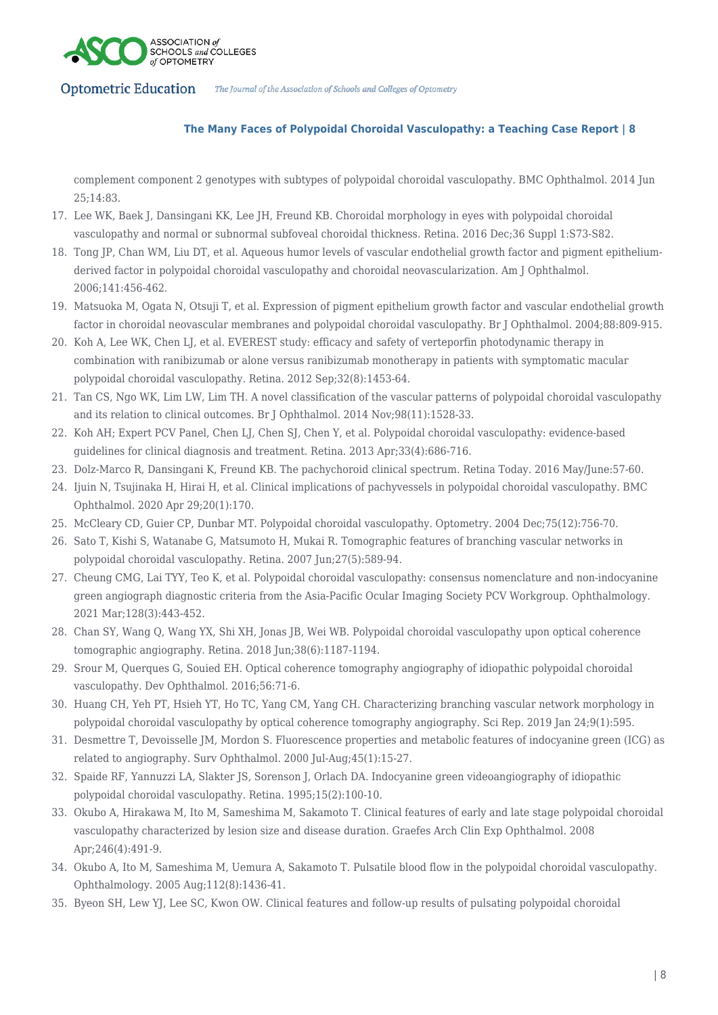

# **The Many Faces of Polypoidal Choroidal Vasculopathy: a Teaching Case Report | 8**

complement component 2 genotypes with subtypes of polypoidal choroidal vasculopathy. BMC Ophthalmol. 2014 Jun 25;14:83.

- 17. Lee WK, Baek J, Dansingani KK, Lee JH, Freund KB. Choroidal morphology in eyes with polypoidal choroidal vasculopathy and normal or subnormal subfoveal choroidal thickness. Retina. 2016 Dec;36 Suppl 1:S73-S82.
- 18. Tong JP, Chan WM, Liu DT, et al. Aqueous humor levels of vascular endothelial growth factor and pigment epitheliumderived factor in polypoidal choroidal vasculopathy and choroidal neovascularization. Am J Ophthalmol. 2006;141:456-462.
- 19. Matsuoka M, Ogata N, Otsuji T, et al. Expression of pigment epithelium growth factor and vascular endothelial growth factor in choroidal neovascular membranes and polypoidal choroidal vasculopathy. Br J Ophthalmol. 2004;88:809-915.
- 20. Koh A, Lee WK, Chen LJ, et al. EVEREST study: efficacy and safety of verteporfin photodynamic therapy in combination with ranibizumab or alone versus ranibizumab monotherapy in patients with symptomatic macular polypoidal choroidal vasculopathy. Retina. 2012 Sep;32(8):1453-64.
- 21. Tan CS, Ngo WK, Lim LW, Lim TH. A novel classification of the vascular patterns of polypoidal choroidal vasculopathy and its relation to clinical outcomes. Br J Ophthalmol. 2014 Nov;98(11):1528-33.
- 22. Koh AH: Expert PCV Panel, Chen LJ, Chen SJ, Chen Y, et al. Polypoidal choroidal vasculopathy: evidence-based guidelines for clinical diagnosis and treatment. Retina. 2013 Apr;33(4):686-716.
- 23. Dolz-Marco R, Dansingani K, Freund KB. The pachychoroid clinical spectrum. Retina Today. 2016 May/June:57-60.
- 24. Ijuin N, Tsujinaka H, Hirai H, et al. Clinical implications of pachyvessels in polypoidal choroidal vasculopathy. BMC Ophthalmol. 2020 Apr 29;20(1):170.
- 25. McCleary CD, Guier CP, Dunbar MT. Polypoidal choroidal vasculopathy. Optometry. 2004 Dec;75(12):756-70.
- 26. Sato T, Kishi S, Watanabe G, Matsumoto H, Mukai R. Tomographic features of branching vascular networks in polypoidal choroidal vasculopathy. Retina. 2007 Jun;27(5):589-94.
- 27. Cheung CMG, Lai TYY, Teo K, et al. Polypoidal choroidal vasculopathy: consensus nomenclature and non-indocyanine green angiograph diagnostic criteria from the Asia-Pacific Ocular Imaging Society PCV Workgroup. Ophthalmology. 2021 Mar;128(3):443-452.
- 28. Chan SY, Wang Q, Wang YX, Shi XH, Jonas JB, Wei WB. Polypoidal choroidal vasculopathy upon optical coherence tomographic angiography. Retina. 2018 Jun;38(6):1187-1194.
- 29. Srour M, Querques G, Souied EH. Optical coherence tomography angiography of idiopathic polypoidal choroidal vasculopathy. Dev Ophthalmol. 2016;56:71-6.
- 30. Huang CH, Yeh PT, Hsieh YT, Ho TC, Yang CM, Yang CH. Characterizing branching vascular network morphology in polypoidal choroidal vasculopathy by optical coherence tomography angiography. Sci Rep. 2019 Jan 24;9(1):595.
- 31. Desmettre T, Devoisselle JM, Mordon S. Fluorescence properties and metabolic features of indocyanine green (ICG) as related to angiography. Surv Ophthalmol. 2000 Jul-Aug;45(1):15-27.
- 32. Spaide RF, Yannuzzi LA, Slakter JS, Sorenson J, Orlach DA. Indocyanine green videoangiography of idiopathic polypoidal choroidal vasculopathy. Retina. 1995;15(2):100-10.
- 33. Okubo A, Hirakawa M, Ito M, Sameshima M, Sakamoto T. Clinical features of early and late stage polypoidal choroidal vasculopathy characterized by lesion size and disease duration. Graefes Arch Clin Exp Ophthalmol. 2008 Apr;246(4):491-9.
- 34. Okubo A, Ito M, Sameshima M, Uemura A, Sakamoto T. Pulsatile blood flow in the polypoidal choroidal vasculopathy. Ophthalmology. 2005 Aug;112(8):1436-41.
- 35. Byeon SH, Lew YJ, Lee SC, Kwon OW. Clinical features and follow-up results of pulsating polypoidal choroidal